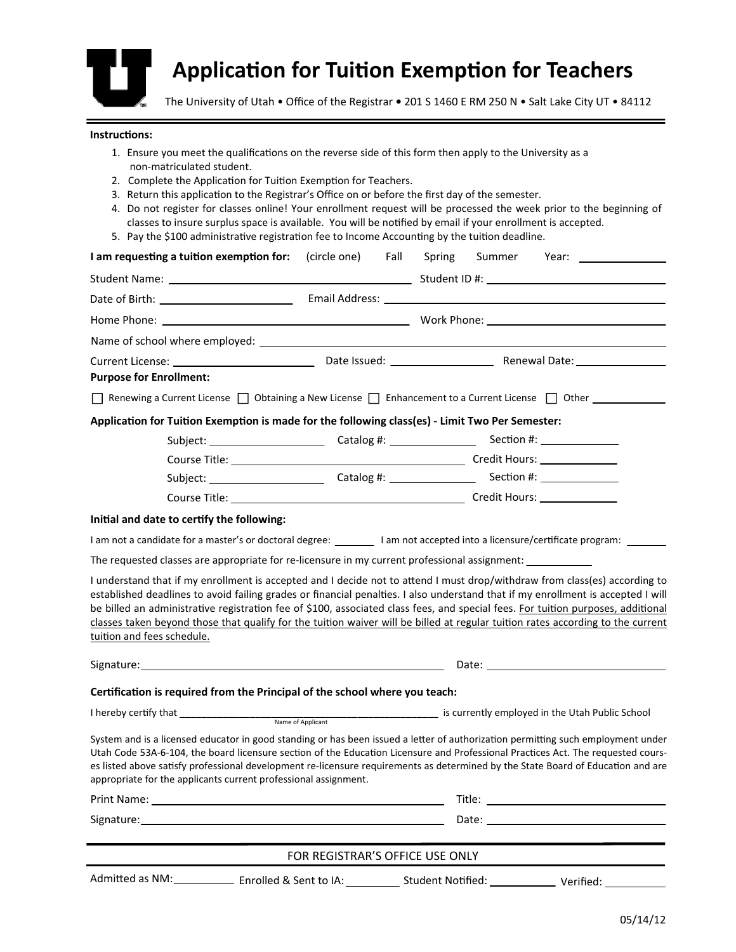

## **ApplicaƟon for TuiƟon ExempƟon for Teachers**

The University of Utah • Office of the Registrar **•** 201 S 1460 E RM 250 N • Salt Lake City UT • 84112

## **InstrucƟons:**

- 1. Ensure you meet the qualifications on the reverse side of this form then apply to the University as a non‐matriculated student.
- 2. Complete the Application for Tuition Exemption for Teachers.
- 3. Return this application to the Registrar's Office on or before the first day of the semester.
- 4. Do not register for classes online! Your enrollment request will be processed the week prior to the beginning of classes to insure surplus space is available. You will be notified by email if your enrollment is accepted.
- 5. Pay the \$100 administrative registration fee to Income Accounting by the tuition deadline.

| I am requesting a tuition exemption for:                                                                                                                                                                                       | (circle one) Fall               | Summer Year: ________________<br>Spring                                                                                                                                                                                                                                                                                                                                                                                                                                                                                               |
|--------------------------------------------------------------------------------------------------------------------------------------------------------------------------------------------------------------------------------|---------------------------------|---------------------------------------------------------------------------------------------------------------------------------------------------------------------------------------------------------------------------------------------------------------------------------------------------------------------------------------------------------------------------------------------------------------------------------------------------------------------------------------------------------------------------------------|
|                                                                                                                                                                                                                                |                                 |                                                                                                                                                                                                                                                                                                                                                                                                                                                                                                                                       |
|                                                                                                                                                                                                                                |                                 |                                                                                                                                                                                                                                                                                                                                                                                                                                                                                                                                       |
|                                                                                                                                                                                                                                |                                 |                                                                                                                                                                                                                                                                                                                                                                                                                                                                                                                                       |
|                                                                                                                                                                                                                                |                                 |                                                                                                                                                                                                                                                                                                                                                                                                                                                                                                                                       |
|                                                                                                                                                                                                                                |                                 |                                                                                                                                                                                                                                                                                                                                                                                                                                                                                                                                       |
| <b>Purpose for Enrollment:</b>                                                                                                                                                                                                 |                                 |                                                                                                                                                                                                                                                                                                                                                                                                                                                                                                                                       |
|                                                                                                                                                                                                                                |                                 | Renewing a Current License   Obtaining a New License   Enhancement to a Current License   Other __________                                                                                                                                                                                                                                                                                                                                                                                                                            |
| Application for Tuition Exemption is made for the following class(es) - Limit Two Per Semester:                                                                                                                                |                                 |                                                                                                                                                                                                                                                                                                                                                                                                                                                                                                                                       |
|                                                                                                                                                                                                                                |                                 | Subject: ___________________________Catalog #: __________________________________                                                                                                                                                                                                                                                                                                                                                                                                                                                     |
|                                                                                                                                                                                                                                |                                 |                                                                                                                                                                                                                                                                                                                                                                                                                                                                                                                                       |
|                                                                                                                                                                                                                                |                                 | Subject: ___________________________Catalog #: __________________________________                                                                                                                                                                                                                                                                                                                                                                                                                                                     |
|                                                                                                                                                                                                                                |                                 |                                                                                                                                                                                                                                                                                                                                                                                                                                                                                                                                       |
| Initial and date to certify the following:                                                                                                                                                                                     |                                 |                                                                                                                                                                                                                                                                                                                                                                                                                                                                                                                                       |
|                                                                                                                                                                                                                                |                                 | I am not a candidate for a master's or doctoral degree: ________ I am not accepted into a licensure/certificate program: _______                                                                                                                                                                                                                                                                                                                                                                                                      |
| The requested classes are appropriate for re-licensure in my current professional assignment: ___________                                                                                                                      |                                 |                                                                                                                                                                                                                                                                                                                                                                                                                                                                                                                                       |
| tuition and fees schedule.                                                                                                                                                                                                     |                                 | I understand that if my enrollment is accepted and I decide not to attend I must drop/withdraw from class(es) according to<br>established deadlines to avoid failing grades or financial penalties. I also understand that if my enrollment is accepted I will<br>be billed an administrative registration fee of \$100, associated class fees, and special fees. For tuition purposes, additional<br>classes taken beyond those that qualify for the tuition waiver will be billed at regular tuition rates according to the current |
|                                                                                                                                                                                                                                |                                 |                                                                                                                                                                                                                                                                                                                                                                                                                                                                                                                                       |
| Certification is required from the Principal of the school where you teach:                                                                                                                                                    |                                 |                                                                                                                                                                                                                                                                                                                                                                                                                                                                                                                                       |
|                                                                                                                                                                                                                                |                                 |                                                                                                                                                                                                                                                                                                                                                                                                                                                                                                                                       |
| appropriate for the applicants current professional assignment.                                                                                                                                                                |                                 | System and is a licensed educator in good standing or has been issued a letter of authorization permitting such employment under<br>Utah Code 53A-6-104, the board licensure section of the Education Licensure and Professional Practices Act. The requested cours-<br>es listed above satisfy professional development re-licensure requirements as determined by the State Board of Education and are                                                                                                                              |
|                                                                                                                                                                                                                                |                                 |                                                                                                                                                                                                                                                                                                                                                                                                                                                                                                                                       |
| Signature: the contract of the contract of the contract of the contract of the contract of the contract of the contract of the contract of the contract of the contract of the contract of the contract of the contract of the |                                 | Date: the contract of the contract of the contract of the contract of the contract of the contract of the contract of the contract of the contract of the contract of the contract of the contract of the contract of the cont                                                                                                                                                                                                                                                                                                        |
|                                                                                                                                                                                                                                | FOR REGISTRAR'S OFFICE USE ONLY |                                                                                                                                                                                                                                                                                                                                                                                                                                                                                                                                       |
|                                                                                                                                                                                                                                |                                 | Admitted as NM: ______________ Enrolled & Sent to IA: ___________ Student Notified: _____________ Verified: ___________                                                                                                                                                                                                                                                                                                                                                                                                               |